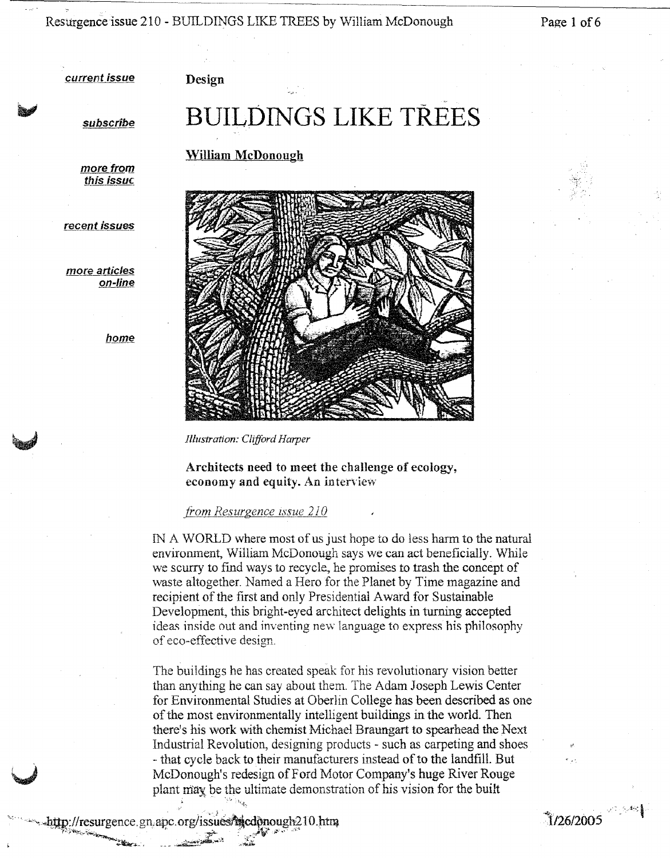Resurgence issue 210 - BUILDINGS LIKE TREES by William McDonough Page 1 of 6

 $1/26/2005$ 

current issue

Design

subscrîbe

# **BUILDINGS LIKE** TREES

William McDonough

more from this issue

recent issues

more articles on-line

home



*Illustration: Clifford Harper*

Architects need to meet the challenge of ecology, economy and equity. An interview

*from Resurgence issue 210*

IN A WORLD where most of us just hope to do less harm to the natural environment, William McDonough says we can act beneficially. While we scurry to find ways to recycle., he promises to trash the concept of waste altogether. Named a Hero for the Planet by Time magazine and recipient of the first and only Presidential Award for Sustainable Development, this bright-eyed architect delights in turning accepted ideas inside out and inventing new language to express his philosophy of eco-effective design.

The buildings he has created speak for his revolutionary vision better than anything he can say about them. The Adam Joseph Lewis Center for Environmental Studies at Oberlin College has been described as one of the most environmentally intelligent buildings in the world. Then there's his work with chemist Michael Braungart to spearhead the Next Industrial Revolution, designing products - such as carpeting and shoes - that cycle back to their manufacturers instead of to the landfill. But McDonough's redesign of Ford Motor Company's huge River Rouge plant may be the ultimate demonstration of his vision for the built

, http://resurgence.gn.apc.org/issues/micdonough210.htm

','.~ : 'l;,t~.

~ ~~;'~""'>;""'-----..;.1t,;",- .•.~ .. ~\_ .i£'""'~;t;..-;<.'.j[~.';~;:'':'"*S' .*

u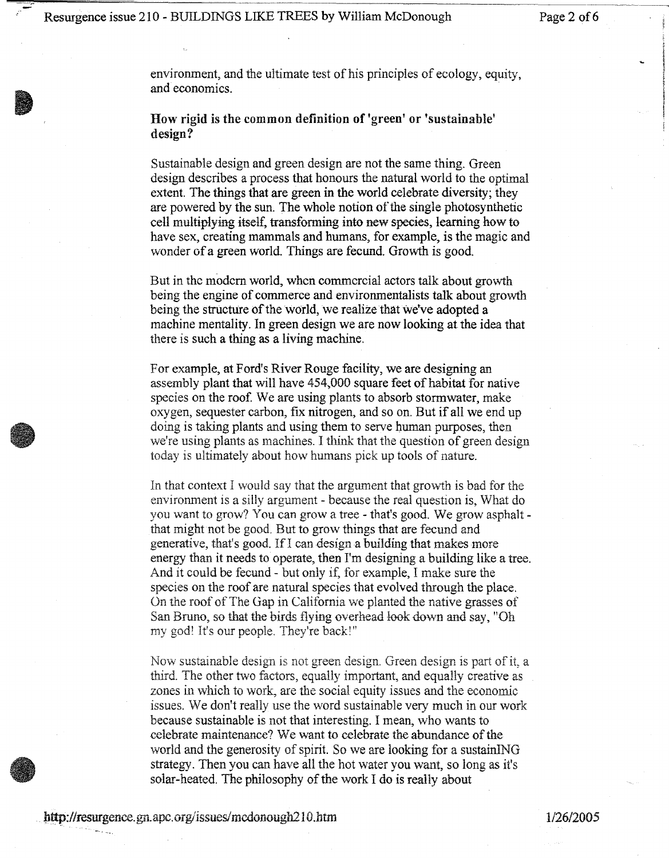environment, and the ultimate test of his principles of ecology, equity, and economics.

## How rigid is the common definition of 'green' or 'sustainable' design?

Sustainable design and green design are not the same thing. Green design describes a process that honours the natural world to the optimal extent. The things that are green in the world celebrate diversity; they are powered by the sun. The whole notion of the single photosynthetic cell multiplying itself, transforming into new species, learning how to have sex, creating mammals and humans, for example, is the magic and wonder of a green world. Things are fecund. Growth is good.

But in the modern world, when commercial actors talk about growth being the engine of commerce and environmentalists talk about growth being the structure of the world, we realize that we've adopted a machine mentality. In green design we are now looking at the idea that there is such a thing as a living machine.

For example, at Ford's River Rouge facility, we are designing an assembly plant that will have 454,000 square feet of habitat for native species on the roof. We are using plants to absorb stormwater, make oxygen, sequester carbon, fix nitrogen, and so on. But if all we end up doing is taking plants and using them to serve buman purposes, then we're using plants as machines. I think that the question of green design today is ultimately about how humans pick up tools of nature.

In that context I would say that the argument that growih is bad for the environment is a silly argument - because the real question is, What do you want to grow? You can grow a tree - that's good. \Ve grow asphalt that might not be good. But to grow things that are fecund and generative, that's good. If I can design a building that makes more energy than it needs to operate, then I'm designing a building like a tree. And it could be fecund - but only if, for example, I make sure the species on the roof are natural species that evolved through the place. On the roof of The Gap in California we planted the native grasses of San Bruno, so that the birds flying overhead look down and say, "Oh my god! It's our people. They're back!"

Now sustainable design is not green design. Green design is part of it, a third. The other two factors, equally important, and equally creative as zones in which to work, are the social equity issues and the economic issues. We don't really use the word sustainable very much in our work because sustainable is not that interesting. I mean, who wants to celebrate maintenance? We want to celebrate the abundance of the world and the generosity of spirit. So we are looking for a sustainING strategy. Then you can have all the hot water you want, so long as it's solar-heated. The philosophy of the work I do is really about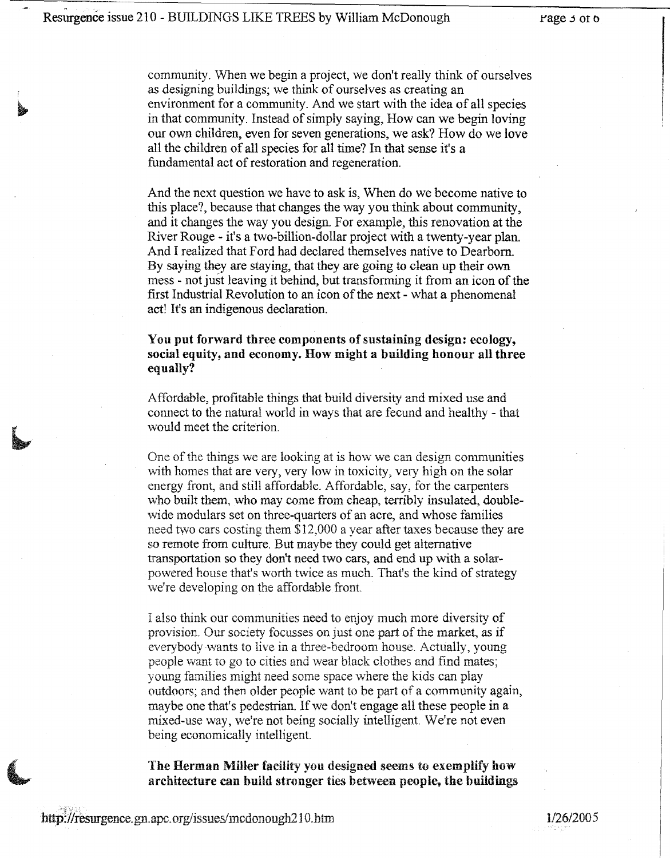community. When we begin a project, we don't really think of ourselves as designing buildings; we think of ourselves as creating an environment for a community. And we start with the idea of all species in that community. Instead of simply saying, How can we begin loving our own children, even for seven generations, we ask? How do we love all the children of all species for all time? In that sense it's a fundamental act of restoration and regeneration.

And the next question we have to ask is, When do we become native to this place?, because that changes the way you think about community, and it changes the way you design. For example, this renovation at the River Rouge - it's a two-billion-dollar project with a twenty-year plan. And I realized that Ford had declared themselves native to Dearborn. By saying they are staying, that they are going to dean up their own mess - not just leaving it behind, but transforming it from an icon of the first Industrial Revolution to an icon of the next - what a phenomenal act! It's an indigenous declaration.

## You put forward three components of sustaining design: ecology, social equity, and economy. How might a building honour all three equally?

Affordable, profitable things that build diversity and mixed use and connect to the natural world in ways that are fecund and healthy - that would meet the criterion.

One of the things we are looking at is how we can design communities with homes that are very, very low in toxicity, very high on the solar energy front, and still affordable. Affordable, say, for the carpenters who built them, who may come from cheap, terribly insulated, doublewide modulars set on three-quarters of an acre, and whose families need two cars costing them \$12,000 a year after taxes because they are so remote from culture. But maybe they could get alternative transportation so they don't need two cars, and end up with a solarpowered house that's worth twice as much. That's the kind of strategy we're developing on the affordable front.

I also think our communities need to enjoy much more diversity of provision. Our society focusses on just one part of the market, as if everybody wants to live in a three-bedroom house. Actually, young people want to go to cities and wear black dothes and find mates; young families might need some space where the kids can play outdoors; and then older people want to be part of a community again, maybe one that's pedestrian. If we don't engage all these people in a mixed-use way, we're not being socially intelligent. We're not even being economically intelligent.

The Herman Miller facility you designed seems to exemplify how architecture can build stronger ties between people, the buildings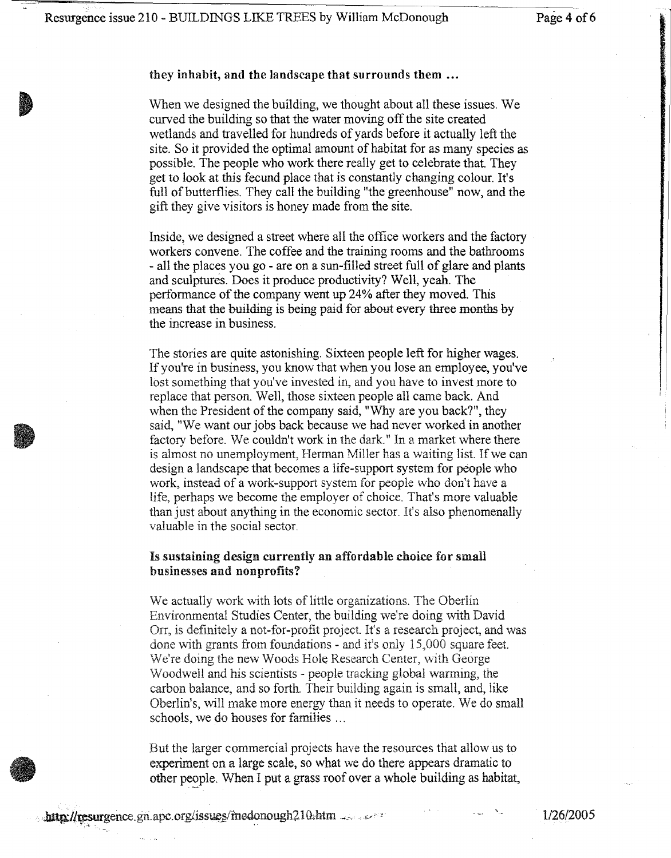i <sup>I</sup>

#### they inhabit, and the landscape that surrounds them **•..**

When we designed the building, we thought about all these issues. We curved the building so that the water moving off the site created wetlands and travelled for hundreds of yards before it actually left the site. So it provided the optimal amount of habitat for as many species as possible. The people who work there really get to celebrate that. They get to look at this fecund place that is constantly changing colour. It's full of butterflies. They call the building "the greenhouse" now, and the gift they give visitors is honey made from the site.

Inside, we designed a street where all the office workers and the factory workers convene. The coffee and the training rooms and the bathrooms - all the places you go - are on a sun-filled street full of glare and plants and sculptures. Does it produce productivity? Well, yeah. The performance of the company went up 24% after they moved. This means that the building is being paid for about every three months by the increase in business.

The stories are quite astonishing. Sixteen people left for higher wages. If you're in business, you know that when you lose an employee, you've lost something that you've invested in, and you have to invest more to replace that person. Well, those sixteen people all came back. And when the President of the company said, "Why are you back?", they said, "We want our jobs back because we had never worked in another factory before. We couldn't work in the dark." In a market where there is almost no unemployment, Herman Miller has a waiting list. If we can design a landscape that becomes a life-support system for people who work, instead of a work-support system for people who don't have a life, perhaps we become the employer of choice. That's more valuable than just about anything in the economic sector. It's also phenomenally valuable in the social sector.

### Is sustaining design currently an affordable choice for small businesses and nonprofits?

We actually work with lots of little organizations. The Oberlin Environmental Studies Center, the building we're doing with David On, is definitely a not-for-profit project. It's a research project, and was done with grants from foundations - and it's only 15,000 square feet. We're doing the new Woods Hole Research Center, with George \Voadwell and his scientists - people tracking global wanning, the carbon balance, and so forth. Their building again is small, and, like Oberlin's, will make more energy than it needs to operate. We do small schools, we do houses for families ...

But the larger commercial projects have the resources that allow us to experiment on a large scale, so what we do there appears dramatic to other people. When I put a grass roof over a whole building as habitat,

1/26/2005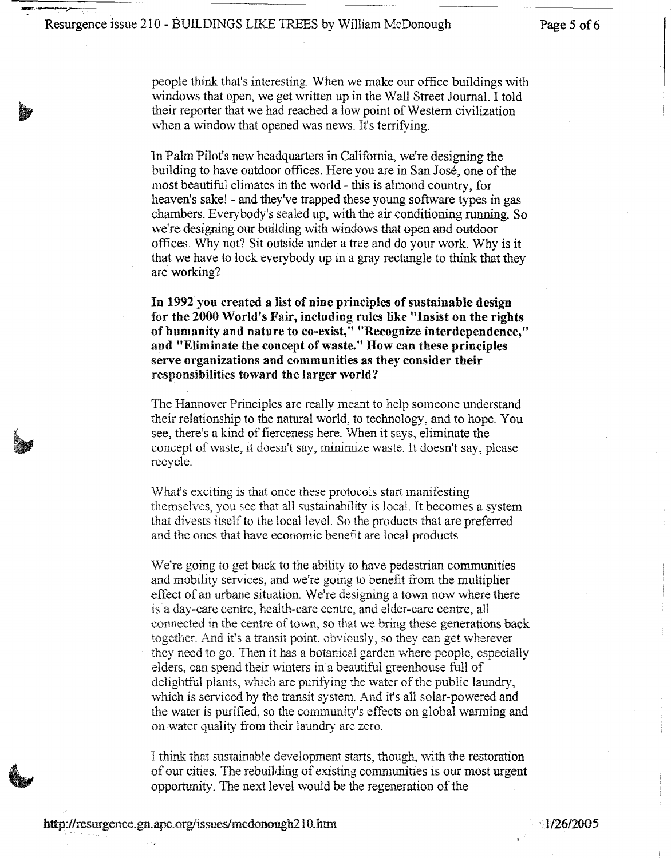people think that's interesting. When we make our office buildings with windows that open, we get written up in the Wall Street Journal. I told their reporter that we had reached a low point of Western civilization when a window that opened was news. It's terrifying.

In Palm Pilot's new headquarters in California, we're designing the building to have outdoor offices. Here you are in San Jose, one of the most beautiful climates in the world - this is almond country, for heaven's sake! - and they've trapped these young software types in gas chambers. Everybody's sealed up, with the air conditioning running. So we're designing our building with windows that open and outdoor offices. Why not? Sit outside under a tree and do your work. Why is it that we have to lock everybody up in a gray rectangle to think that they are working?

In 1992 you created a list of nine principles of sustainable design for the 2000 World's Fair, including rules like "Insist on the rights of humanity and nature to co-exist," "Recognize interdependence," and "Eliminate the concept of waste." How can these principles serve organizations and communities as they consider their responsibilities toward the larger world?

The Hannover Principles are really meant to help someone understand their relationship to the natural world, to technology, and to hope. You see, there's a kind of fierceness here. When it says, eliminate the concept of waste, it doesn't say, minimize waste. It doesn't say, please recycle.

What's exciting is that once these protocols start manifesting themselves, you see that all sustainability is local. It becomes a system that divests itself to the local level. So the products that are preferred and the ones that have economic benefit are local products.

We're going to get back to the ability to have pedestrian communities and mobility services, and we're going to benefit from the multiplier effect of an urbane situation. We're designing a town now where there is a day-care centre, health-care centre, and elder-care centre, all connected in the centre of town, so that we bring these generations back together. And it's a transit point, obviously, so they can get wherever they need to go. Then it has a botanical garden where people, especially elders, can spend their winters in a beautiful greenhouse full of delightful plants, which are purifying the water of the public laundry, which is serviced by the transit system. And it's all solar-powered and the water is purified, so the community's effects on global warming and on water quality from their laundry are zero.

I think that sustainable development starts, though, with the restoration of our cities. The rebuilding of existing communities is our most urgent opportunity. The next level would be the regeneration of the